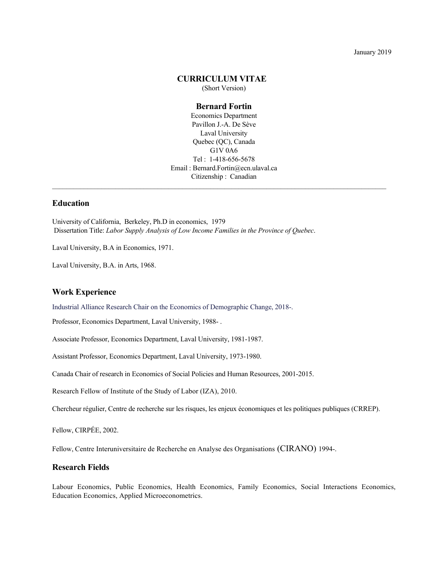January 2019

### **CURRICULUM VITAE**

(Short Version)

## **Bernard Fortin** Economics Department Pavillon J.-A. De Sève Laval University Quebec (QC), Canada G1V 0A6 Tel : 1-418-656-5678 Email : Bernard.Fortin@ecn.ulaval.ca

## Citizenship : Canadian  $\mathcal{L}_\mathcal{L} = \mathcal{L}_\mathcal{L}$

# **Education**

University of California, Berkeley, Ph.D in economics, 1979 Dissertation Title: *Labor Supply Analysis of Low Income Families in the Province of Quebec*.

Laval University, B.A in Economics, 1971.

Laval University, B.A. in Arts, 1968.

## **Work Experience**

Industrial Alliance Research Chair on the Economics of Demographic Change, 2018-.

Professor, Economics Department, Laval University, 1988- .

Associate Professor, Economics Department, Laval University, 1981-1987.

Assistant Professor, Economics Department, Laval University, 1973-1980.

Canada Chair of research in Economics of Social Policies and Human Resources, 2001-2015.

Research Fellow of Institute of the Study of Labor (IZA), 2010.

Chercheur régulier, Centre de recherche sur les risques, les enjeux économiques et les politiques publiques (CRREP).

Fellow, CIRPÉE, 2002.

Fellow, Centre Interuniversitaire de Recherche en Analyse des Organisations (CIRANO) 1994-.

## **Research Fields**

Labour Economics, Public Economics, Health Economics, Family Economics, Social Interactions Economics, Education Economics, Applied Microeconometrics.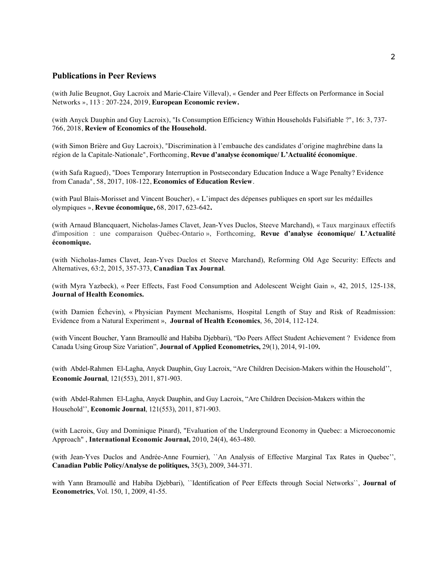## **Publications in Peer Reviews**

(with Julie Beugnot, Guy Lacroix and Marie-Claire Villeval), « Gender and Peer Effects on Performance in Social Networks », 113 : 207-224, 2019, **European Economic review.**

(with Anyck Dauphin and Guy Lacroix), "Is Consumption Efficiency Within Households Falsifiable ?", 16: 3, 737- 766, 2018, **Review of Economics of the Household***.*

(with Simon Brière and Guy Lacroix), "Discrimination à l'embauche des candidates d'origine maghrébine dans la région de la Capitale-Nationale", Forthcoming, **Revue d'analyse économique/ L'Actualité économique***.*

(with Safa Ragued), "Does Temporary Interruption in Postsecondary Education Induce a Wage Penalty? Evidence from Canada", 58, 2017, 108-122, **Economics of Education Review**.

(with Paul Blais-Morisset and Vincent Boucher), « L'impact des dépenses publiques en sport sur les médailles olympiques », **Revue économique,** 68, 2017, 623-642**.**

(with Arnaud Blancquaert, Nicholas-James Clavet, Jean-Yves Duclos, Steeve Marchand), « Taux marginaux effectifs d'imposition : une comparaison Québec-Ontario », Forthcoming, **Revue d'analyse économique/ L'Actualité économique.**

(with Nicholas-James Clavet, Jean-Yves Duclos et Steeve Marchand), Reforming Old Age Security: Effects and Alternatives, 63:2, 2015, 357-373, **Canadian Tax Journal**.

(with Myra Yazbeck), « Peer Effects, Fast Food Consumption and Adolescent Weight Gain », 42, 2015, 125-138, **Journal of Health Economics.**

(with Damien Échevin), « Physician Payment Mechanisms, Hospital Length of Stay and Risk of Readmission: Evidence from a Natural Experiment », **Journal of Health Economics**, 36, 2014, 112-124.

(with Vincent Boucher, Yann Bramoullé and Habiba Djebbari), "Do Peers Affect Student Achievement ? Evidence from Canada Using Group Size Variation", **Journal of Applied Econometrics,** 29(1), 2014, 91-109**.**

(with Abdel-Rahmen El-Lagha, Anyck Dauphin, Guy Lacroix, "Are Children Decision-Makers within the Household'', **Economic Journal**, 121(553), 2011, 871-903.

(with Abdel-Rahmen El-Lagha, Anyck Dauphin, and Guy Lacroix, "Are Children Decision-Makers within the Household'', **Economic Journal**, 121(553), 2011, 871-903.

(with Lacroix, Guy and Dominique Pinard), "Evaluation of the Underground Economy in Quebec: a Microeconomic Approach" , **International Economic Journal,** 2010, 24(4), 463-480.

(with Jean-Yves Duclos and Andrée-Anne Fournier), ``An Analysis of Effective Marginal Tax Rates in Quebec'', **Canadian Public Policy/Analyse de politiques,** 35(3), 2009, 344-371.

with Yann Bramoullé and Habiba Djebbari), ``Identification of Peer Effects through Social Networks``, **Journal of Econometrics**, Vol. 150, 1, 2009, 41-55.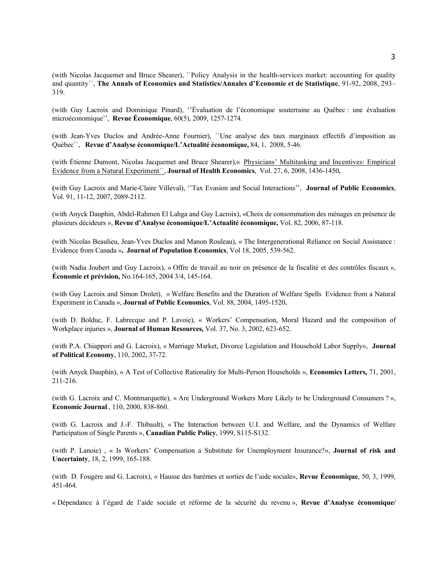(with Nicolas Jacquemet and Bruce Shearer), ``Policy Analysis in the health-services market: accounting for quality and quantity``, **The Annals of Economics and Statistics/Annales d'Economie et de Statistique**, 91-92, 2008, 293– 319.

(with Guy Lacroix and Dominique Pinard), ''Évaluation de l'économique souterraine au Québec : une évaluation microéconomique'', **Revue Économique**, 60(5), 2009, 1257-1274.

(with Jean-Yves Duclos and Andrée-Anne Fournier), ``Une analyse des taux marginaux effectifs d'imposition au Québec``, **Revue d'Analyse économique/L'Actualité économique,** 84, 1, 2008, 5-46.

(with Étienne Dumont, Nicolas Jacquemet and Bruce Shearer),« Physicians' Multitasking and Incentives: Empirical Evidence from a Natural Experiment``, **Journal of Health Economics**, Vol. 27, 6, 2008, 1436-1450**.**

**(**with Guy Lacroix and Marie-Claire Villeval), ''Tax Evasion and Social Interactions'', **Journal of Public Economics**, Vol. 91, 11-12, 2007, 2089-2112.

(with Anyck Dauphin, Abdel-Rahmen El Lahga and Guy Lacroix), «Choix de consommation des ménages en présence de plusieurs décideurs », **Revue d'Analyse économique/L'Actualité économique,** Vol. 82, 2006, 87-118.

(with Nicolas Beaulieu, Jean-Yves Duclos and Manon Rouleau), « The Intergenerational Reliance on Social Assistance : Evidence from Canada »**, Journal of Population Economics**, Vol 18, 2005, 539-562.

(with Nadia Joubert and Guy Lacroix), « Offre de travail au noir en présence de la fiscalité et des contrôles fiscaux », **Économie et prévision,** No.164-165, 2004 3/4, 145-164.

(with Guy Lacroix and Simon Drolet), « Welfare Benefits and the Duration of Welfare Spells Evidence from a Natural Experiment in Canada », **Journal of Public Economics**, Vol. 88, 2004, 1495-1520**.**

(with D. Bolduc, F. Labrecque and P. Lavoie), « Workers' Compensation, Moral Hazard and the composition of Workplace injuries », **Journal of Human Resources,** Vol. 37, No. 3, 2002, 623-652.

(with P.A. Chiappori and G. Lacroix), « Marriage Market, Divorce Legislation and Household Labor Supply», **Journal of Political Economy**, 110, 2002, 37-72.

(with Anyck Dauphin), « A Test of Collective Rationality for Multi-Person Households », **Economics Letters,** 71, 2001, 211-216.

(with G. Lacroix and C. Montmarquette), « Are Underground Workers More Likely to be Underground Consumers ? », **Economic Journal***.*, 110, 2000, 838-860.

(with G. Lacroix and J.-F. Thibault), « The Interaction between U.I. and Welfare, and the Dynamics of Welfare Participation of Single Parents », **Canadian Public Policy**, 1999, S115-S132.

(with P. Lanoie) , « Is Workers' Compensation a Substitute for Unemployment Insurance?», **Journal of risk and Uncertainty**, 18, 2, 1999, 165-188.

(with D. Fougère and G. Lacroix), « Hausse des barèmes et sorties de l'aide sociale», **Revue Économique**, 50, 3, 1999, 451-464.

« Dépendance à l'égard de l'aide sociale et réforme de la sécurité du revenu », **Revue d'Analyse économique/**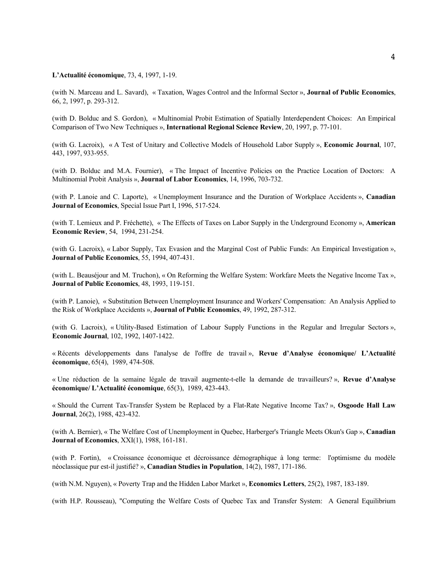### **L'Actualité économique**, 73, 4, 1997, 1-19.

(with N. Marceau and L. Savard), « Taxation, Wages Control and the Informal Sector », **Journal of Public Economics**, 66, 2, 1997, p. 293-312.

(with D. Bolduc and S. Gordon), « Multinomial Probit Estimation of Spatially Interdependent Choices: An Empirical Comparison of Two New Techniques », **International Regional Science Review**, 20, 1997, p. 77-101.

(with G. Lacroix), « A Test of Unitary and Collective Models of Household Labor Supply », **Economic Journal**, 107, 443, 1997, 933-955.

(with D. Bolduc and M.A. Fournier), « The Impact of Incentive Policies on the Practice Location of Doctors: A Multinomial Probit Analysis », **Journal of Labor Economics**, 14, 1996, 703-732.

(with P. Lanoie and C. Laporte), « Unemployment Insurance and the Duration of Workplace Accidents », **Canadian Journal of Economics**, Special Issue Part I, 1996, 517-524.

(with T. Lemieux and P. Fréchette), « The Effects of Taxes on Labor Supply in the Underground Economy », **American Economic Review**, 54, 1994, 231-254.

(with G. Lacroix), « Labor Supply, Tax Evasion and the Marginal Cost of Public Funds: An Empirical Investigation », **Journal of Public Economics**, 55, 1994, 407-431.

(with L. Beauséjour and M. Truchon), « On Reforming the Welfare System: Workfare Meets the Negative Income Tax », **Journal of Public Economics**, 48, 1993, 119-151.

(with P. Lanoie), « Substitution Between Unemployment Insurance and Workers' Compensation: An Analysis Applied to the Risk of Workplace Accidents », **Journal of Public Economics**, 49, 1992, 287-312.

(with G. Lacroix), « Utility-Based Estimation of Labour Supply Functions in the Regular and Irregular Sectors », **Economic Journal**, 102, 1992, 1407-1422.

« Récents développements dans l'analyse de l'offre de travail », **Revue d'Analyse économique/ L'Actualité économique**, 65(4), 1989, 474-508.

« Une réduction de la semaine légale de travail augmente-t-elle la demande de travailleurs? », **Revue d'Analyse économique/ L'Actualité économique**, 65(3), 1989, 423-443.

« Should the Current Tax-Transfer System be Replaced by a Flat-Rate Negative Income Tax? », **Osgoode Hall Law Journal**, 26(2), 1988, 423-432.

(with A. Bernier), « The Welfare Cost of Unemployment in Quebec, Harberger's Triangle Meets Okun's Gap », **Canadian Journal of Economics**, XXI(1), 1988, 161-181.

(with P. Fortin), « Croissance économique et décroissance démographique à long terme: l'optimisme du modèle néoclassique pur est-il justifié? », **Canadian Studies in Population**, 14(2), 1987, 171-186.

(with N.M. Nguyen), « Poverty Trap and the Hidden Labor Market », **Economics Letters**, 25(2), 1987, 183-189.

(with H.P. Rousseau), "Computing the Welfare Costs of Quebec Tax and Transfer System: A General Equilibrium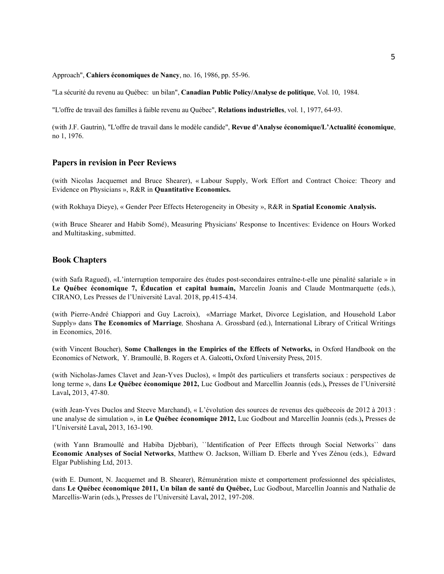#### Approach", **Cahiers économiques de Nancy**, no. 16, 1986, pp. 55-96.

"La sécurité du revenu au Québec: un bilan", **Canadian Public Policy/Analyse de politique**, Vol. 10, 1984.

"L'offre de travail des familles à faible revenu au Québec", **Relations industrielles**, vol. 1, 1977, 64-93.

(with J.F. Gautrin), "L'offre de travail dans le modèle candide", **Revue d'Analyse économique/L'Actualité économique**, no 1, 1976.

### **Papers in revision in Peer Reviews**

(with Nicolas Jacquemet and Bruce Shearer), « Labour Supply, Work Effort and Contract Choice: Theory and Evidence on Physicians », R&R in **Quantitative Economics.**

(with Rokhaya Dieye), « Gender Peer Effects Heterogeneity in Obesity », R&R in **Spatial Economic Analysis.** 

(with Bruce Shearer and Habib Somé), Measuring Physicians' Response to Incentives: Evidence on Hours Worked and Multitasking, submitted.

### **Book Chapters**

(with Safa Ragued), «L'interruption temporaire des études post-secondaires entraîne-t-elle une pénalité salariale » in **Le Québec économique 7, Éducation et capital humain,** Marcelin Joanis and Claude Montmarquette (eds.), CIRANO, Les Presses de l'Université Laval. 2018, pp.415-434.

(with Pierre-André Chiappori and Guy Lacroix), «Marriage Market, Divorce Legislation, and Household Labor Supply» dans **The Economics of Marriage***,* Shoshana A. Grossbard (ed.), International Library of Critical Writings in Economics, 2016.

(with Vincent Boucher), **Some Challenges in the Empirics of the Effects of Networks,** in Oxford Handbook on the Economics of Network, Y. Bramoullé, B. Rogers et A. Galeotti**,** Oxford University Press, 2015.

(with Nicholas-James Clavet and Jean-Yves Duclos), « Impôt des particuliers et transferts sociaux : perspectives de long terme », dans **Le Québec économique 2012,** Luc Godbout and Marcellin Joannis (eds.)**,** Presses de l'Université Laval**,** 2013, 47-80.

(with Jean-Yves Duclos and Steeve Marchand), « L'évolution des sources de revenus des québecois de 2012 à 2013 : une analyse de simulation », in **Le Québec économique 2012,** Luc Godbout and Marcellin Joannis (eds.)**,** Presses de l'Université Laval**,** 2013, 163-190.

(with Yann Bramoullé and Habiba Djebbari), ``Identification of Peer Effects through Social Networks`` dans **Economic Analyses of Social Networks**, Matthew O. Jackson, William D. Eberle and Yves Zénou (eds.), Edward Elgar Publishing Ltd, 2013.

(with E. Dumont, N. Jacquemet and B. Shearer), Rémunération mixte et comportement professionnel des spécialistes, dans **Le Québec économique 2011, Un bilan de santé du Québec,** Luc Godbout, Marcellin Joannis and Nathalie de Marcellis-Warin (eds.)**,** Presses de l'Université Laval**,** 2012, 197-208.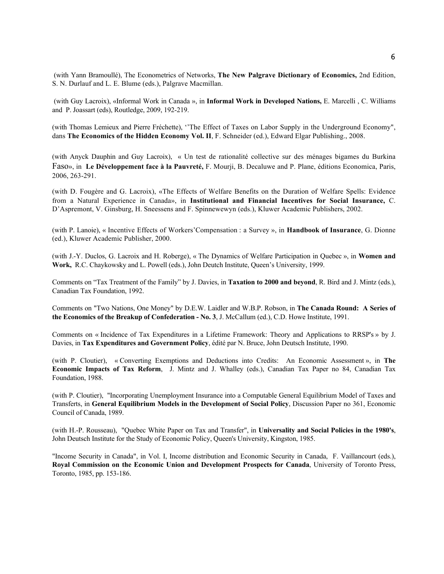(with Yann Bramoullé), The Econometrics of Networks, **The New Palgrave Dictionary of Economics,** 2nd Edition, S. N. Durlauf and L. E. Blume (eds.), Palgrave Macmillan.

(with Guy Lacroix), «Informal Work in Canada », in **Informal Work in Developed Nations,** E. Marcelli , C. Williams and P. Joassart (eds), Routledge, 2009, 192-219.

(with Thomas Lemieux and Pierre Fréchette), ''The Effect of Taxes on Labor Supply in the Underground Economy", dans **The Economics of the Hidden Economy Vol. II**, F. Schneider (ed.), Edward Elgar Publishing., 2008.

(with Anyck Dauphin and Guy Lacroix), « Un test de rationalité collective sur des ménages bigames du Burkina Faso», in **Le Développement face à la Pauvreté,** F. Mourji, B. Decaluwe and P. Plane, éditions Economica, Paris, 2006, 263-291.

(with D. Fougère and G. Lacroix), «The Effects of Welfare Benefits on the Duration of Welfare Spells: Evidence from a Natural Experience in Canada», in **Institutional and Financial Incentives for Social Insurance,** C. D'Aspremont, V. Ginsburg, H. Sneessens and F. Spinnewewyn (eds.), Kluwer Academic Publishers, 2002.

(with P. Lanoie), « Incentive Effects of Workers'Compensation : a Survey », in **Handbook of Insurance**, G. Dionne (ed.), Kluwer Academic Publisher, 2000.

(with J.-Y. Duclos, G. Lacroix and H. Roberge), « The Dynamics of Welfare Participation in Quebec », in **Women and Work,** R.C. Chaykowsky and L. Powell (eds.), John Deutch Institute, Queen's University, 1999.

Comments on "Tax Treatment of the Family" by J. Davies, in **Taxation to 2000 and beyond**, R. Bird and J. Mintz (eds.), Canadian Tax Foundation, 1992.

Comments on "Two Nations, One Money" by D.E.W. Laidler and W.B.P. Robson, in **The Canada Round: A Series of the Economics of the Breakup of Confederation - No. 3**, J. McCallum (ed.), C.D. Howe Institute, 1991.

Comments on « Incidence of Tax Expenditures in a Lifetime Framework: Theory and Applications to RRSP's » by J. Davies, in **Tax Expenditures and Government Policy**, édité par N. Bruce, John Deutsch Institute, 1990.

(with P. Cloutier), « Converting Exemptions and Deductions into Credits: An Economic Assessment », in **The Economic Impacts of Tax Reform**, J. Mintz and J. Whalley (eds.), Canadian Tax Paper no 84, Canadian Tax Foundation, 1988.

(with P. Cloutier), "Incorporating Unemployment Insurance into a Computable General Equilibrium Model of Taxes and Transferts, in **General Equilibrium Models in the Development of Social Policy**, Discussion Paper no 361, Economic Council of Canada, 1989.

(with H.-P. Rousseau), "Quebec White Paper on Tax and Transfer", in **Universality and Social Policies in the 1980's**, John Deutsch Institute for the Study of Economic Policy, Queen's University, Kingston, 1985.

"Income Security in Canada", in Vol. I, Income distribution and Economic Security in Canada, F. Vaillancourt (eds.), **Royal Commission on the Economic Union and Development Prospects for Canada**, University of Toronto Press, Toronto, 1985, pp. 153-186.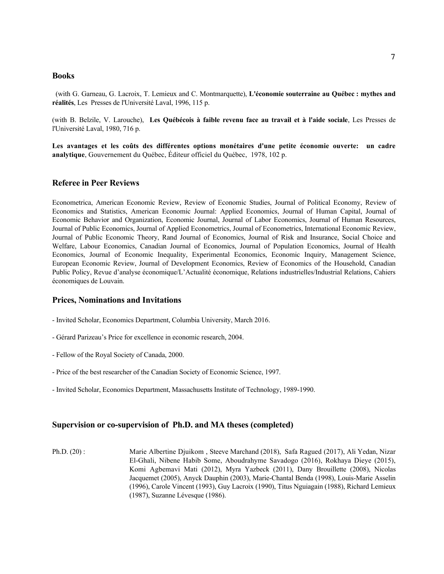### **Books**

 (with G. Garneau, G. Lacroix, T. Lemieux and C. Montmarquette), **L'économie souterraine au Québec : mythes and réalités**, Les Presses de l'Université Laval, 1996, 115 p.

(with B. Belzile, V. Larouche), **Les Québécois à faible revenu face au travail et à l'aide sociale**, Les Presses de l'Université Laval, 1980, 716 p.

**Les avantages et les coûts des différentes options monétaires d'une petite économie ouverte: un cadre analytique**, Gouvernement du Québec, Éditeur officiel du Québec, 1978, 102 p.

## **Referee in Peer Reviews**

Econometrica, American Economic Review, Review of Economic Studies, Journal of Political Economy, Review of Economics and Statistics, American Economic Journal: Applied Economics, Journal of Human Capital, Journal of Economic Behavior and Organization, Economic Journal, Journal of Labor Economics, Journal of Human Resources, Journal of Public Economics, Journal of Applied Econometrics, Journal of Econometrics, International Economic Review, Journal of Public Economic Theory, Rand Journal of Economics, Journal of Risk and Insurance, Social Choice and Welfare, Labour Economics, Canadian Journal of Economics, Journal of Population Economics, Journal of Health Economics, Journal of Economic Inequality, Experimental Economics, Economic Inquiry, Management Science, European Economic Review, Journal of Development Economics, Review of Economics of the Household, Canadian Public Policy, Revue d'analyse économique/L'Actualité économique, Relations industrielles/Industrial Relations, Cahiers économiques de Louvain.

### **Prices, Nominations and Invitations**

- Invited Scholar, Economics Department, Columbia University, March 2016.
- Gérard Parizeau's Price for excellence in economic research, 2004.
- Fellow of the Royal Society of Canada, 2000.
- Price of the best researcher of the Canadian Society of Economic Science, 1997.
- Invited Scholar, Economics Department, Massachusetts Institute of Technology, 1989-1990.

### **Supervision or co-supervision of Ph.D. and MA theses (completed)**

Ph.D. (20) : Marie Albertine Djuikom , Steeve Marchand (2018), Safa Ragued (2017), Ali Yedan, Nizar El-Ghali, Nibene Habib Some, Aboudrahyme Savadogo (2016), Rokhaya Dieye (2015), Komi Agbemavi Mati (2012), Myra Yazbeck (2011), Dany Brouillette (2008), Nicolas Jacquemet (2005), Anyck Dauphin (2003), Marie-Chantal Benda (1998), Louis-Marie Asselin (1996), Carole Vincent (1993), Guy Lacroix (1990), Titus Nguiagain (1988), Richard Lemieux (1987), Suzanne Lévesque (1986).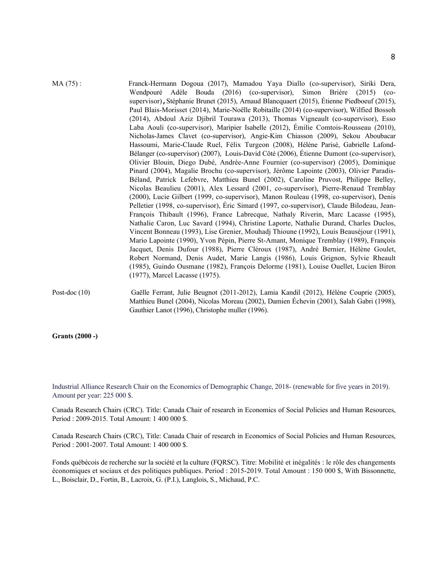- MA (75) : Franck-Hermann Dogoua (2017), Mamadou Yaya Diallo (co-supervisor), Siriki Dera, Wendpouré Adèle Bouda (2016) (co-supervisor), Simon Brière (2015) (cosupervisor),Stéphanie Brunet (2015), Arnaud Blancquaert (2015), Étienne Piedboeuf (2015), Paul Blais-Morisset (2014), Marie-Noëlle Robitaille (2014) (co-supervisor), Wilfied Bossoh (2014), Abdoul Aziz Djibril Tourawa (2013), Thomas Vigneault (co-supervisor), Esso Laba Aouli (co-supervisor), Maripier Isabelle (2012), Émilie Comtois-Rousseau (2010), Nicholas-James Clavet (co-supervisor), Angie-Kim Chiasson (2009), Sekou Aboubacar Hassoumi, Marie-Claude Ruel, Félix Turgeon (2008), Hélène Parisé, Gabrielle Lafond-Bélanger (co-supervisor) (2007), Louis-David Côté (2006), Étienne Dumont (co-supervisor), Olivier Blouin, Diego Dubé, Andrée-Anne Fournier (co-supervisor) (2005), Dominique Pinard (2004), Magalie Brochu (co-supervisor), Jérôme Lapointe (2003), Olivier Paradis-Béland, Patrick Lefebvre, Matthieu Bunel (2002), Caroline Pruvost, Philippe Belley, Nicolas Beaulieu (2001), Alex Lessard (2001, co-supervisor), Pierre-Renaud Tremblay (2000), Lucie Gilbert (1999, co-supervisor), Manon Rouleau (1998, co-supervisor), Denis Pelletier (1998, co-supervisor), Éric Simard (1997, co-supervisor), Claude Bilodeau, Jean-François Thibault (1996), France Labrecque, Nathaly Riverin, Marc Lacasse (1995), Nathalie Caron, Luc Savard (1994), Christine Laporte, Nathalie Durand, Charles Duclos, Vincent Bonneau (1993), Lise Grenier, Mouhadj Thioune (1992), Louis Beauséjour (1991), Mario Lapointe (1990), Yvon Pépin, Pierre St-Amant, Monique Tremblay (1989), François Jacquet, Denis Dufour (1988), Pierre Cléroux (1987), André Bernier, Hélène Goulet, Robert Normand, Denis Audet, Marie Langis (1986), Louis Grignon, Sylvie Rheault (1985), Guindo Ousmane (1982), François Delorme (1981), Louise Ouellet, Lucien Biron (1977), Marcel Lacasse (1975).
- Post-doc (10) Gaëlle Ferrant, Julie Beugnot (2011-2012), Lamia Kandil (2012), Hélène Couprie (2005), Matthieu Bunel (2004), Nicolas Moreau (2002), Damien Échevin (2001), Salah Gabri (1998), Gauthier Lanot (1996), Christophe muller (1996).

**Grants (2000 -)**

Industrial Alliance Research Chair on the Economics of Demographic Change, 2018- (renewable for five years in 2019). Amount per year: 225 000 \$.

Canada Research Chairs (CRC). Title: Canada Chair of research in Economics of Social Policies and Human Resources, Period : 2009-2015. Total Amount: 1 400 000 \$.

Canada Research Chairs (CRC), Title: Canada Chair of research in Economics of Social Policies and Human Resources, Period : 2001-2007. Total Amount: 1 400 000 \$.

Fonds québécois de recherche sur la société et la culture (FQRSC). Titre: Mobilité et inégalités : le rôle des changements économiques et sociaux et des politiques publiques. Period : 2015-2019. Total Amount : 150 000 \$, With Bissonnette, L., Boisclair, D., Fortin, B., Lacroix, G. (P.I.), Langlois, S., Michaud, P.C.